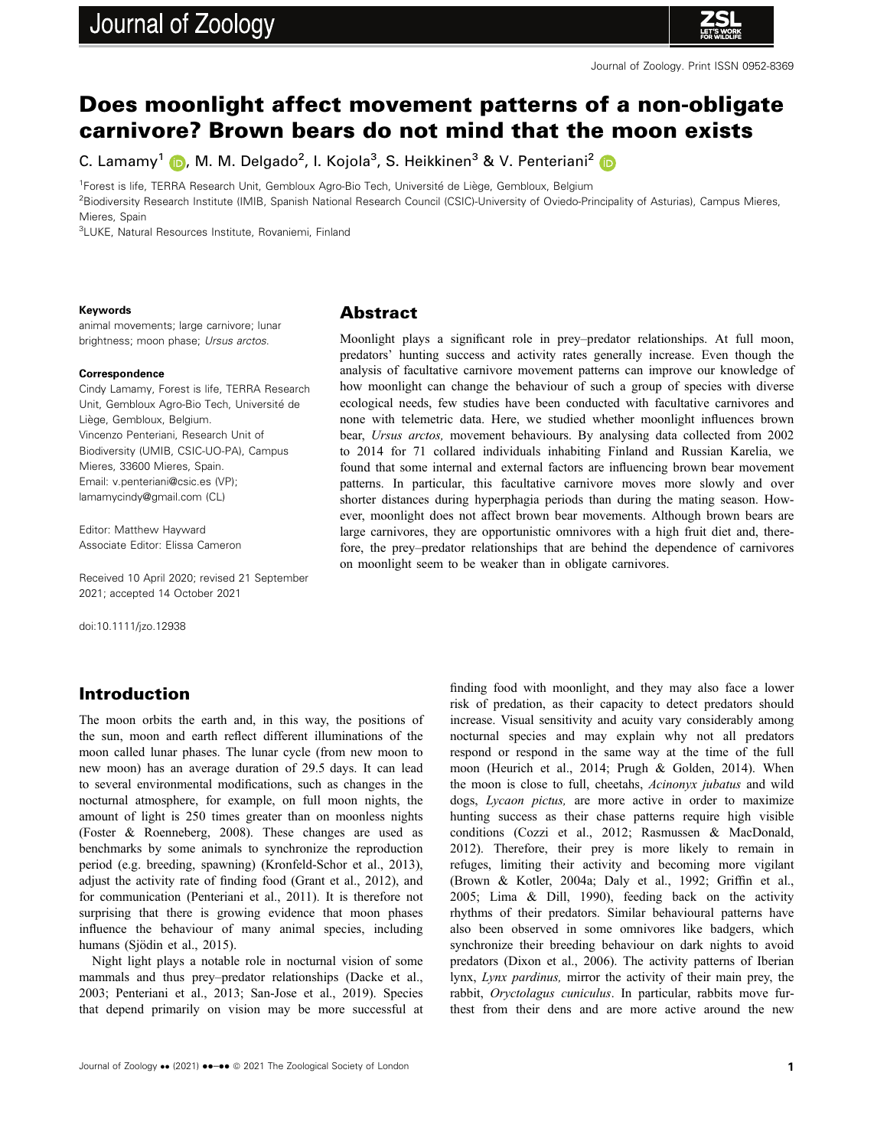# Journal of Zoology



## Does moonlight affect movement patterns of a non-obligate carnivore? Brown bears do not mind that the moon exists

C. Lamamy<sup>1</sup> (D, M. M. Delgado<sup>2</sup>, I. Kojola<sup>3</sup>, S. Heikkinen<sup>3</sup> & V. Penteriani<sup>2</sup>

<sup>1</sup>Forest is life, TERRA Research Unit, Gembloux Agro-Bio Tech, Université de Liège, Gembloux, Belgium

2 Biodiversity Research Institute (IMIB, Spanish National Research Council (CSIC)-University of Oviedo-Principality of Asturias), Campus Mieres,

Mieres, Spain

3 LUKE, Natural Resources Institute, Rovaniemi, Finland

#### Keywords

animal movements; large carnivore; lunar brightness; moon phase; Ursus arctos.

#### Correspondence

Cindy Lamamy, Forest is life, TERRA Research Unit, Gembloux Agro-Bio Tech, Université de Liege, Gembloux, Belgium. Vincenzo Penteriani, Research Unit of Biodiversity (UMIB, CSIC-UO-PA), Campus Mieres, 33600 Mieres, Spain. Email: [v.penteriani@csic.es](mailto:) (VP); [lamamycindy@gmail.com](mailto:) (CL)

Editor: Matthew Hayward Associate Editor: Elissa Cameron

Received 10 April 2020; revised 21 September 2021; accepted 14 October 2021

doi:10.1111/jzo.12938

## Introduction

The moon orbits the earth and, in this way, the positions of the sun, moon and earth reflect different illuminations of the moon called lunar phases. The lunar cycle (from new moon to new moon) has an average duration of 29.5 days. It can lead to several environmental modifications, such as changes in the nocturnal atmosphere, for example, on full moon nights, the amount of light is 250 times greater than on moonless nights (Foster & Roenneberg, 2008). These changes are used as benchmarks by some animals to synchronize the reproduction period (e.g. breeding, spawning) (Kronfeld-Schor et al., 2013), adjust the activity rate of finding food (Grant et al., 2012), and for communication (Penteriani et al., 2011). It is therefore not surprising that there is growing evidence that moon phases influence the behaviour of many animal species, including humans (Sjödin et al., 2015).

Night light plays a notable role in nocturnal vision of some mammals and thus prey–predator relationships (Dacke et al., 2003; Penteriani et al., 2013; San-Jose et al., 2019). Species that depend primarily on vision may be more successful at

Abstract

Moonlight plays a significant role in prey–predator relationships. At full moon, predators' hunting success and activity rates generally increase. Even though the analysis of facultative carnivore movement patterns can improve our knowledge of how moonlight can change the behaviour of such a group of species with diverse ecological needs, few studies have been conducted with facultative carnivores and none with telemetric data. Here, we studied whether moonlight influences brown bear, Ursus arctos, movement behaviours. By analysing data collected from 2002 to 2014 for 71 collared individuals inhabiting Finland and Russian Karelia, we found that some internal and external factors are influencing brown bear movement patterns. In particular, this facultative carnivore moves more slowly and over shorter distances during hyperphagia periods than during the mating season. However, moonlight does not affect brown bear movements. Although brown bears are large carnivores, they are opportunistic omnivores with a high fruit diet and, therefore, the prey–predator relationships that are behind the dependence of carnivores on moonlight seem to be weaker than in obligate carnivores.

> finding food with moonlight, and they may also face a lower risk of predation, as their capacity to detect predators should increase. Visual sensitivity and acuity vary considerably among nocturnal species and may explain why not all predators respond or respond in the same way at the time of the full moon (Heurich et al., 2014; Prugh & Golden, 2014). When the moon is close to full, cheetahs, Acinonyx jubatus and wild dogs, Lycaon pictus, are more active in order to maximize hunting success as their chase patterns require high visible conditions (Cozzi et al., 2012; Rasmussen & MacDonald, 2012). Therefore, their prey is more likely to remain in refuges, limiting their activity and becoming more vigilant (Brown & Kotler, 2004a; Daly et al., 1992; Griffin et al., 2005; Lima & Dill, 1990), feeding back on the activity rhythms of their predators. Similar behavioural patterns have also been observed in some omnivores like badgers, which synchronize their breeding behaviour on dark nights to avoid predators (Dixon et al., 2006). The activity patterns of Iberian lynx, Lynx pardinus, mirror the activity of their main prey, the rabbit, Oryctolagus cuniculus. In particular, rabbits move furthest from their dens and are more active around the new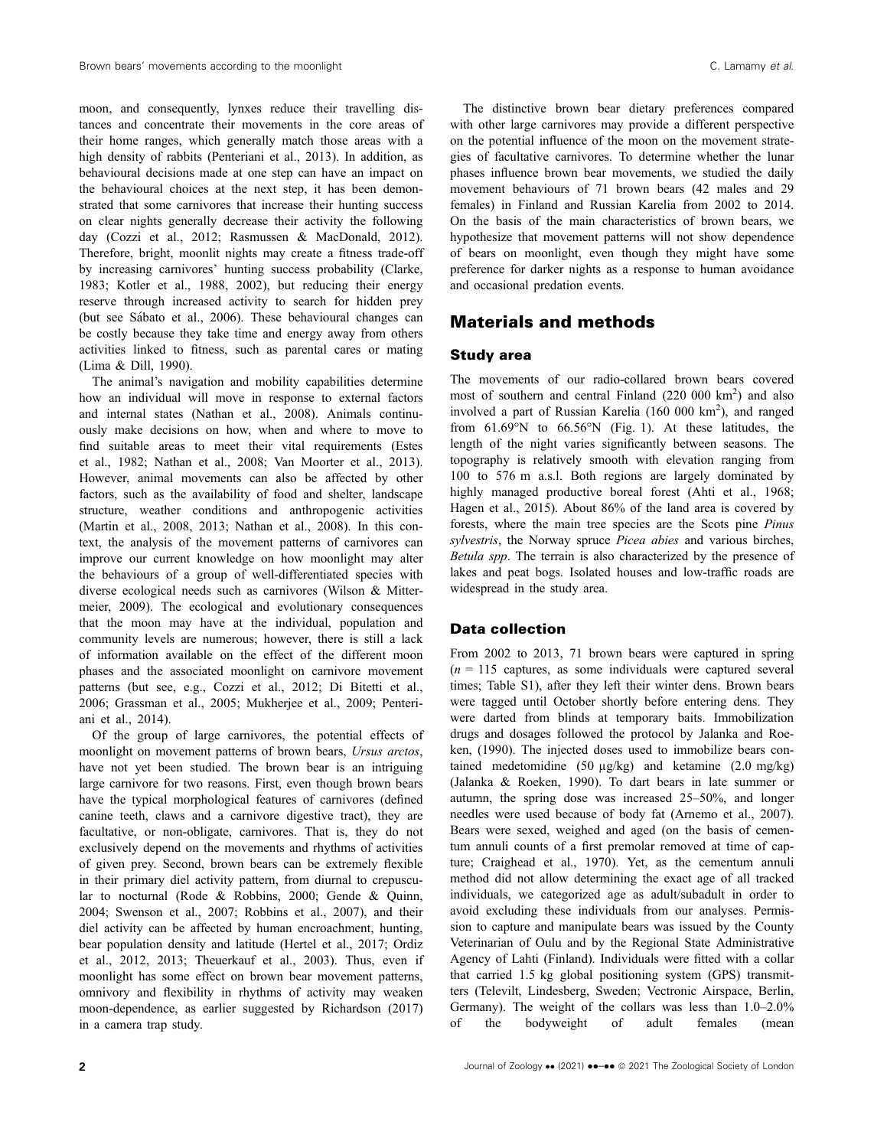moon, and consequently, lynxes reduce their travelling distances and concentrate their movements in the core areas of their home ranges, which generally match those areas with a high density of rabbits (Penteriani et al., 2013). In addition, as behavioural decisions made at one step can have an impact on the behavioural choices at the next step, it has been demonstrated that some carnivores that increase their hunting success on clear nights generally decrease their activity the following day (Cozzi et al., 2012; Rasmussen & MacDonald, 2012). Therefore, bright, moonlit nights may create a fitness trade-off by increasing carnivores' hunting success probability (Clarke, 1983; Kotler et al., 1988, 2002), but reducing their energy reserve through increased activity to search for hidden prey (but see Sabato et al., 2006). These behavioural changes can be costly because they take time and energy away from others activities linked to fitness, such as parental cares or mating (Lima & Dill, 1990).

The animal's navigation and mobility capabilities determine how an individual will move in response to external factors and internal states (Nathan et al., 2008). Animals continuously make decisions on how, when and where to move to find suitable areas to meet their vital requirements (Estes et al., 1982; Nathan et al., 2008; Van Moorter et al., 2013). However, animal movements can also be affected by other factors, such as the availability of food and shelter, landscape structure, weather conditions and anthropogenic activities (Martin et al., 2008, 2013; Nathan et al., 2008). In this context, the analysis of the movement patterns of carnivores can improve our current knowledge on how moonlight may alter the behaviours of a group of well-differentiated species with diverse ecological needs such as carnivores (Wilson & Mittermeier, 2009). The ecological and evolutionary consequences that the moon may have at the individual, population and community levels are numerous; however, there is still a lack of information available on the effect of the different moon phases and the associated moonlight on carnivore movement patterns (but see, e.g., Cozzi et al., 2012; Di Bitetti et al., 2006; Grassman et al., 2005; Mukherjee et al., 2009; Penteriani et al., 2014).

Of the group of large carnivores, the potential effects of moonlight on movement patterns of brown bears, Ursus arctos, have not yet been studied. The brown bear is an intriguing large carnivore for two reasons. First, even though brown bears have the typical morphological features of carnivores (defined canine teeth, claws and a carnivore digestive tract), they are facultative, or non-obligate, carnivores. That is, they do not exclusively depend on the movements and rhythms of activities of given prey. Second, brown bears can be extremely flexible in their primary diel activity pattern, from diurnal to crepuscular to nocturnal (Rode & Robbins, 2000; Gende & Quinn, 2004; Swenson et al., 2007; Robbins et al., 2007), and their diel activity can be affected by human encroachment, hunting, bear population density and latitude (Hertel et al., 2017; Ordiz et al., 2012, 2013; Theuerkauf et al., 2003). Thus, even if moonlight has some effect on brown bear movement patterns, omnivory and flexibility in rhythms of activity may weaken moon-dependence, as earlier suggested by Richardson (2017) in a camera trap study.

The distinctive brown bear dietary preferences compared with other large carnivores may provide a different perspective on the potential influence of the moon on the movement strategies of facultative carnivores. To determine whether the lunar phases influence brown bear movements, we studied the daily movement behaviours of 71 brown bears (42 males and 29 females) in Finland and Russian Karelia from 2002 to 2014. On the basis of the main characteristics of brown bears, we hypothesize that movement patterns will not show dependence of bears on moonlight, even though they might have some preference for darker nights as a response to human avoidance and occasional predation events.

## Materials and methods

#### Study area

The movements of our radio-collared brown bears covered most of southern and central Finland (220 000 km<sup>2</sup>) and also involved a part of Russian Karelia (160 000 km<sup>2</sup>), and ranged from 61.69°N to 66.56°N (Fig. 1). At these latitudes, the length of the night varies significantly between seasons. The topography is relatively smooth with elevation ranging from 100 to 576 m a.s.l. Both regions are largely dominated by highly managed productive boreal forest (Ahti et al., 1968; Hagen et al., 2015). About 86% of the land area is covered by forests, where the main tree species are the Scots pine Pinus sylvestris, the Norway spruce Picea abies and various birches, Betula spp. The terrain is also characterized by the presence of lakes and peat bogs. Isolated houses and low-traffic roads are widespread in the study area.

## Data collection

From 2002 to 2013, 71 brown bears were captured in spring  $(n = 115$  captures, as some individuals were captured several times; Table S1), after they left their winter dens. Brown bears were tagged until October shortly before entering dens. They were darted from blinds at temporary baits. Immobilization drugs and dosages followed the protocol by Jalanka and Roeken, (1990). The injected doses used to immobilize bears contained medetomidine (50 µg/kg) and ketamine (2.0 mg/kg) (Jalanka & Roeken, 1990). To dart bears in late summer or autumn, the spring dose was increased 25–50%, and longer needles were used because of body fat (Arnemo et al., 2007). Bears were sexed, weighed and aged (on the basis of cementum annuli counts of a first premolar removed at time of capture; Craighead et al., 1970). Yet, as the cementum annuli method did not allow determining the exact age of all tracked individuals, we categorized age as adult/subadult in order to avoid excluding these individuals from our analyses. Permission to capture and manipulate bears was issued by the County Veterinarian of Oulu and by the Regional State Administrative Agency of Lahti (Finland). Individuals were fitted with a collar that carried 1.5 kg global positioning system (GPS) transmitters (Televilt, Lindesberg, Sweden; Vectronic Airspace, Berlin, Germany). The weight of the collars was less than 1.0–2.0% of the bodyweight of adult females (mean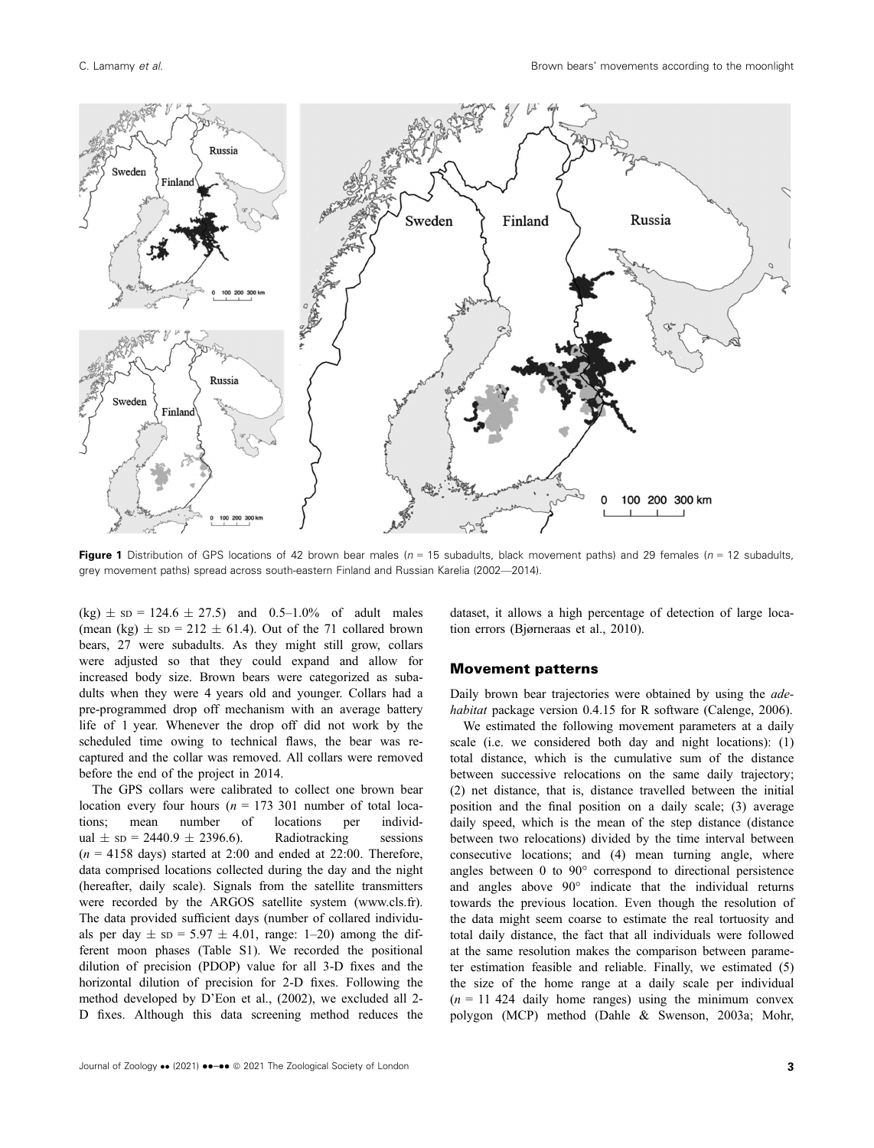

Figure 1 Distribution of GPS locations of 42 brown bear males ( $n = 15$  subadults, black movement paths) and 29 females ( $n = 12$  subadults, grey movement paths) spread across south-eastern Finland and Russian Karelia (2002—2014).

 $(kg) \pm sp = 124.6 \pm 27.5$  and 0.5–1.0% of adult males (mean (kg)  $\pm$  sD = 212  $\pm$  61.4). Out of the 71 collared brown bears, 27 were subadults. As they might still grow, collars were adjusted so that they could expand and allow for increased body size. Brown bears were categorized as subadults when they were 4 years old and younger. Collars had a pre-programmed drop off mechanism with an average battery life of 1 year. Whenever the drop off did not work by the scheduled time owing to technical flaws, the bear was recaptured and the collar was removed. All collars were removed before the end of the project in 2014.

The GPS collars were calibrated to collect one brown bear location every four hours ( $n = 173,301$  number of total locations; mean number of locations per individual  $\pm$  sp = 2440.9  $\pm$  2396.6). Radiotracking sessions  $(n = 4158$  days) started at 2:00 and ended at 22:00. Therefore, data comprised locations collected during the day and the night (hereafter, daily scale). Signals from the satellite transmitters were recorded by the ARGOS satellite system [\(www.cls.fr](http://www.cls.fr)). The data provided sufficient days (number of collared individuals per day  $\pm$  sp = 5.97  $\pm$  4.01, range: 1–20) among the different moon phases (Table S1). We recorded the positional dilution of precision (PDOP) value for all 3-D fixes and the horizontal dilution of precision for 2-D fixes. Following the method developed by D'Eon et al., (2002), we excluded all 2- D fixes. Although this data screening method reduces the

dataset, it allows a high percentage of detection of large location errors (Bjørneraas et al., 2010).

#### Movement patterns

Daily brown bear trajectories were obtained by using the *ade*habitat package version 0.4.15 for R software (Calenge, 2006).

We estimated the following movement parameters at a daily scale (i.e. we considered both day and night locations): (1) total distance, which is the cumulative sum of the distance between successive relocations on the same daily trajectory; (2) net distance, that is, distance travelled between the initial position and the final position on a daily scale; (3) average daily speed, which is the mean of the step distance (distance between two relocations) divided by the time interval between consecutive locations; and (4) mean turning angle, where angles between 0 to 90° correspond to directional persistence and angles above 90° indicate that the individual returns towards the previous location. Even though the resolution of the data might seem coarse to estimate the real tortuosity and total daily distance, the fact that all individuals were followed at the same resolution makes the comparison between parameter estimation feasible and reliable. Finally, we estimated (5) the size of the home range at a daily scale per individual  $(n = 11 424$  daily home ranges) using the minimum convex polygon (MCP) method (Dahle & Swenson, 2003a; Mohr,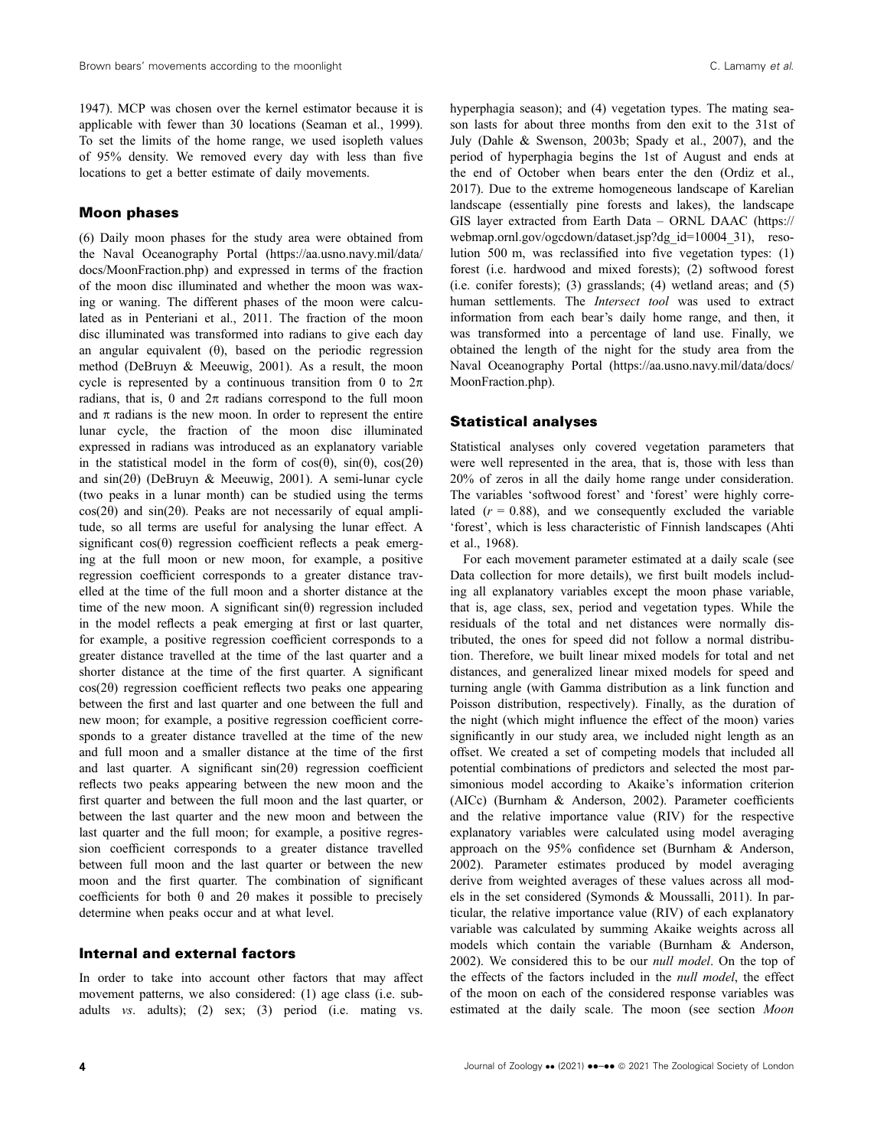1947). MCP was chosen over the kernel estimator because it is applicable with fewer than 30 locations (Seaman et al., 1999). To set the limits of the home range, we used isopleth values of 95% density. We removed every day with less than five locations to get a better estimate of daily movements.

#### Moon phases

(6) Daily moon phases for the study area were obtained from the Naval Oceanography Portal [\(https://aa.usno.navy.mil/data/](https://aa.usno.navy.mil/data/docs/MoonFraction.php) [docs/MoonFraction.php](https://aa.usno.navy.mil/data/docs/MoonFraction.php)) and expressed in terms of the fraction of the moon disc illuminated and whether the moon was waxing or waning. The different phases of the moon were calculated as in Penteriani et al., 2011. The fraction of the moon disc illuminated was transformed into radians to give each day an angular equivalent  $(\theta)$ , based on the periodic regression method (DeBruyn & Meeuwig, 2001). As a result, the moon cycle is represented by a continuous transition from 0 to  $2\pi$ radians, that is, 0 and  $2\pi$  radians correspond to the full moon and  $\pi$  radians is the new moon. In order to represent the entire lunar cycle, the fraction of the moon disc illuminated expressed in radians was introduced as an explanatory variable in the statistical model in the form of  $cos(\theta)$ ,  $sin(\theta)$ ,  $cos(2\theta)$ and  $sin(2\theta)$  (DeBruyn & Meeuwig, 2001). A semi-lunar cycle (two peaks in a lunar month) can be studied using the terms  $cos(2\theta)$  and  $sin(2\theta)$ . Peaks are not necessarily of equal amplitude, so all terms are useful for analysing the lunar effect. A significant  $cos(\theta)$  regression coefficient reflects a peak emerging at the full moon or new moon, for example, a positive regression coefficient corresponds to a greater distance travelled at the time of the full moon and a shorter distance at the time of the new moon. A significant  $sin(\theta)$  regression included in the model reflects a peak emerging at first or last quarter, for example, a positive regression coefficient corresponds to a greater distance travelled at the time of the last quarter and a shorter distance at the time of the first quarter. A significant  $cos(2\theta)$  regression coefficient reflects two peaks one appearing between the first and last quarter and one between the full and new moon; for example, a positive regression coefficient corresponds to a greater distance travelled at the time of the new and full moon and a smaller distance at the time of the first and last quarter. A significant  $sin(2\theta)$  regression coefficient reflects two peaks appearing between the new moon and the first quarter and between the full moon and the last quarter, or between the last quarter and the new moon and between the last quarter and the full moon; for example, a positive regression coefficient corresponds to a greater distance travelled between full moon and the last quarter or between the new moon and the first quarter. The combination of significant coefficients for both  $\theta$  and  $2\theta$  makes it possible to precisely determine when peaks occur and at what level.

#### Internal and external factors

In order to take into account other factors that may affect movement patterns, we also considered: (1) age class (i.e. subadults vs. adults); (2) sex; (3) period (i.e. mating vs.

hyperphagia season); and (4) vegetation types. The mating season lasts for about three months from den exit to the 31st of July (Dahle & Swenson, 2003b; Spady et al., 2007), and the period of hyperphagia begins the 1st of August and ends at the end of October when bears enter the den (Ordiz et al., 2017). Due to the extreme homogeneous landscape of Karelian landscape (essentially pine forests and lakes), the landscape GIS layer extracted from Earth Data – ORNL DAAC ([https://](https://webmap.ornl.gov/ogcdown/dataset.jsp?dg_id=10004_31) [webmap.ornl.gov/ogcdown/dataset.jsp?dg\\_id=10004\\_31](https://webmap.ornl.gov/ogcdown/dataset.jsp?dg_id=10004_31)), resolution 500 m, was reclassified into five vegetation types: (1) forest (i.e. hardwood and mixed forests); (2) softwood forest (i.e. conifer forests); (3) grasslands; (4) wetland areas; and (5) human settlements. The *Intersect tool* was used to extract information from each bear's daily home range, and then, it was transformed into a percentage of land use. Finally, we obtained the length of the night for the study area from the Naval Oceanography Portal [\(https://aa.usno.navy.mil/data/docs/](https://aa.usno.navy.mil/data/docs/MoonFraction.php) [MoonFraction.php](https://aa.usno.navy.mil/data/docs/MoonFraction.php)).

#### Statistical analyses

Statistical analyses only covered vegetation parameters that were well represented in the area, that is, those with less than 20% of zeros in all the daily home range under consideration. The variables 'softwood forest' and 'forest' were highly correlated  $(r = 0.88)$ , and we consequently excluded the variable 'forest', which is less characteristic of Finnish landscapes (Ahti et al., 1968).

For each movement parameter estimated at a daily scale (see Data collection for more details), we first built models including all explanatory variables except the moon phase variable, that is, age class, sex, period and vegetation types. While the residuals of the total and net distances were normally distributed, the ones for speed did not follow a normal distribution. Therefore, we built linear mixed models for total and net distances, and generalized linear mixed models for speed and turning angle (with Gamma distribution as a link function and Poisson distribution, respectively). Finally, as the duration of the night (which might influence the effect of the moon) varies significantly in our study area, we included night length as an offset. We created a set of competing models that included all potential combinations of predictors and selected the most parsimonious model according to Akaike's information criterion (AICc) (Burnham & Anderson, 2002). Parameter coefficients and the relative importance value (RIV) for the respective explanatory variables were calculated using model averaging approach on the 95% confidence set (Burnham & Anderson, 2002). Parameter estimates produced by model averaging derive from weighted averages of these values across all models in the set considered (Symonds & Moussalli, 2011). In particular, the relative importance value (RIV) of each explanatory variable was calculated by summing Akaike weights across all models which contain the variable (Burnham & Anderson, 2002). We considered this to be our null model. On the top of the effects of the factors included in the null model, the effect of the moon on each of the considered response variables was estimated at the daily scale. The moon (see section Moon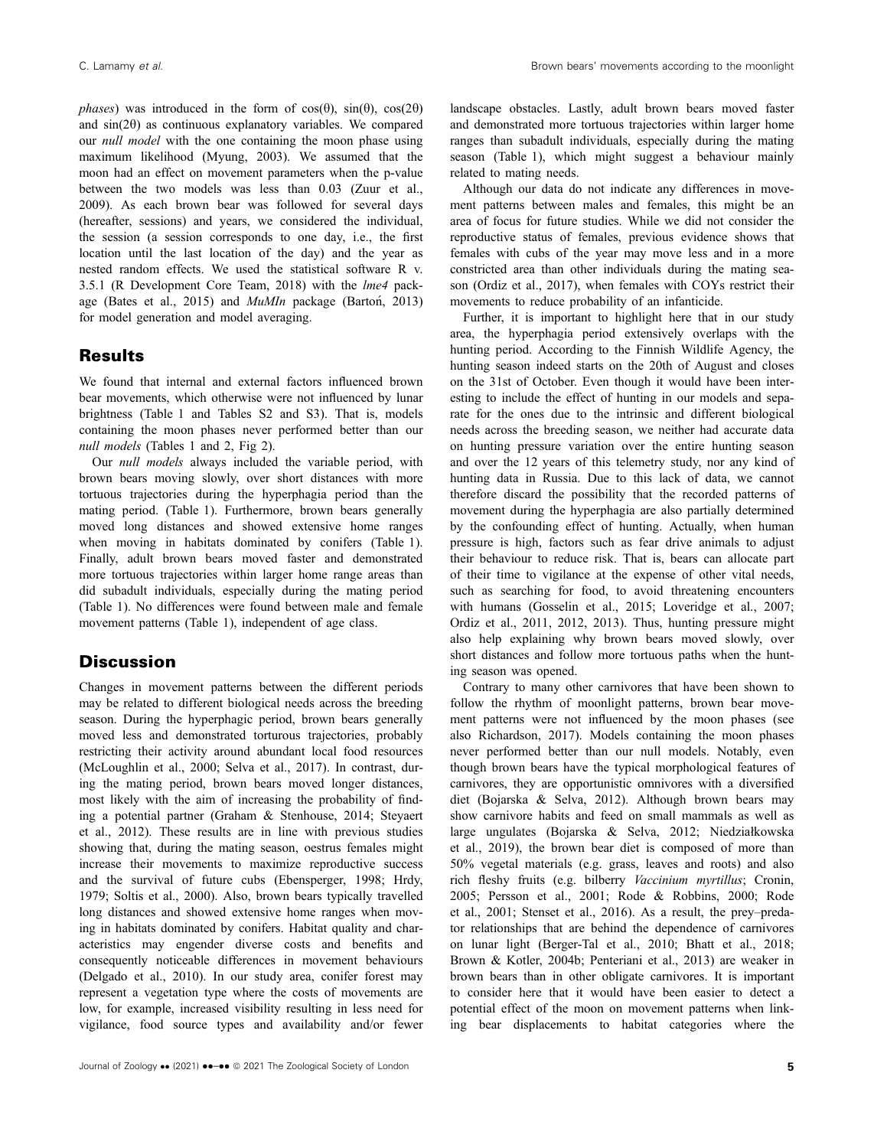phases) was introduced in the form of  $cos(\theta)$ ,  $sin(\theta)$ ,  $cos(2\theta)$ and  $sin(2\theta)$  as continuous explanatory variables. We compared our null model with the one containing the moon phase using maximum likelihood (Myung, 2003). We assumed that the moon had an effect on movement parameters when the p-value between the two models was less than 0.03 (Zuur et al., 2009). As each brown bear was followed for several days (hereafter, sessions) and years, we considered the individual, the session (a session corresponds to one day, i.e., the first location until the last location of the day) and the year as nested random effects. We used the statistical software R v. 3.5.1 (R Development Core Team, 2018) with the lme4 package (Bates et al., 2015) and MuMIn package (Barton, 2013) for model generation and model averaging.

## **Results**

We found that internal and external factors influenced brown bear movements, which otherwise were not influenced by lunar brightness (Table 1 and Tables S2 and S3). That is, models containing the moon phases never performed better than our null models (Tables 1 and 2, Fig 2).

Our null models always included the variable period, with brown bears moving slowly, over short distances with more tortuous trajectories during the hyperphagia period than the mating period. (Table 1). Furthermore, brown bears generally moved long distances and showed extensive home ranges when moving in habitats dominated by conifers (Table 1). Finally, adult brown bears moved faster and demonstrated more tortuous trajectories within larger home range areas than did subadult individuals, especially during the mating period (Table 1). No differences were found between male and female movement patterns (Table 1), independent of age class.

## **Discussion**

Changes in movement patterns between the different periods may be related to different biological needs across the breeding season. During the hyperphagic period, brown bears generally moved less and demonstrated torturous trajectories, probably restricting their activity around abundant local food resources (McLoughlin et al., 2000; Selva et al., 2017). In contrast, during the mating period, brown bears moved longer distances, most likely with the aim of increasing the probability of finding a potential partner (Graham & Stenhouse, 2014; Steyaert et al., 2012). These results are in line with previous studies showing that, during the mating season, oestrus females might increase their movements to maximize reproductive success and the survival of future cubs (Ebensperger, 1998; Hrdy, 1979; Soltis et al., 2000). Also, brown bears typically travelled long distances and showed extensive home ranges when moving in habitats dominated by conifers. Habitat quality and characteristics may engender diverse costs and benefits and consequently noticeable differences in movement behaviours (Delgado et al., 2010). In our study area, conifer forest may represent a vegetation type where the costs of movements are low, for example, increased visibility resulting in less need for vigilance, food source types and availability and/or fewer

landscape obstacles. Lastly, adult brown bears moved faster and demonstrated more tortuous trajectories within larger home ranges than subadult individuals, especially during the mating season (Table 1), which might suggest a behaviour mainly related to mating needs.

Although our data do not indicate any differences in movement patterns between males and females, this might be an area of focus for future studies. While we did not consider the reproductive status of females, previous evidence shows that females with cubs of the year may move less and in a more constricted area than other individuals during the mating season (Ordiz et al., 2017), when females with COYs restrict their movements to reduce probability of an infanticide.

Further, it is important to highlight here that in our study area, the hyperphagia period extensively overlaps with the hunting period. According to the Finnish Wildlife Agency, the hunting season indeed starts on the 20th of August and closes on the 31st of October. Even though it would have been interesting to include the effect of hunting in our models and separate for the ones due to the intrinsic and different biological needs across the breeding season, we neither had accurate data on hunting pressure variation over the entire hunting season and over the 12 years of this telemetry study, nor any kind of hunting data in Russia. Due to this lack of data, we cannot therefore discard the possibility that the recorded patterns of movement during the hyperphagia are also partially determined by the confounding effect of hunting. Actually, when human pressure is high, factors such as fear drive animals to adjust their behaviour to reduce risk. That is, bears can allocate part of their time to vigilance at the expense of other vital needs, such as searching for food, to avoid threatening encounters with humans (Gosselin et al., 2015; Loveridge et al., 2007; Ordiz et al., 2011, 2012, 2013). Thus, hunting pressure might also help explaining why brown bears moved slowly, over short distances and follow more tortuous paths when the hunting season was opened.

Contrary to many other carnivores that have been shown to follow the rhythm of moonlight patterns, brown bear movement patterns were not influenced by the moon phases (see also Richardson, 2017). Models containing the moon phases never performed better than our null models. Notably, even though brown bears have the typical morphological features of carnivores, they are opportunistic omnivores with a diversified diet (Bojarska & Selva, 2012). Although brown bears may show carnivore habits and feed on small mammals as well as large ungulates (Bojarska & Selva, 2012; Niedziałkowska et al., 2019), the brown bear diet is composed of more than 50% vegetal materials (e.g. grass, leaves and roots) and also rich fleshy fruits (e.g. bilberry Vaccinium myrtillus; Cronin, 2005; Persson et al., 2001; Rode & Robbins, 2000; Rode et al., 2001; Stenset et al., 2016). As a result, the prey–predator relationships that are behind the dependence of carnivores on lunar light (Berger-Tal et al., 2010; Bhatt et al., 2018; Brown & Kotler, 2004b; Penteriani et al., 2013) are weaker in brown bears than in other obligate carnivores. It is important to consider here that it would have been easier to detect a potential effect of the moon on movement patterns when linking bear displacements to habitat categories where the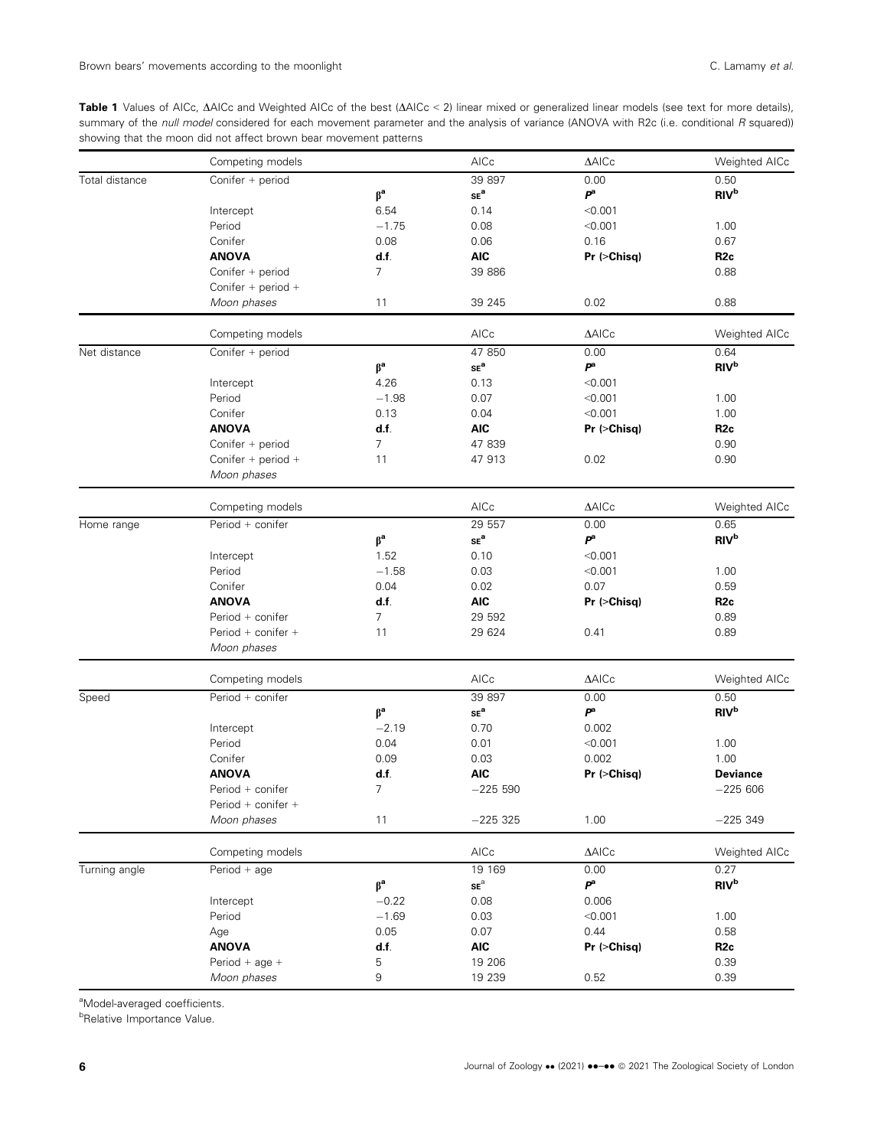Table 1 Values of AICc,  $\Delta$ AICc and Weighted AICc of the best ( $\Delta$ AICc < 2) linear mixed or generalized linear models (see text for more details), summary of the null model considered for each movement parameter and the analysis of variance (ANOVA with R2c (i.e. conditional R squared)) showing that the moon did not affect brown bear movement patterns

|                | Competing models                  |                                   | AICc                       | $\triangle$ AICc            | Weighted AICc          |
|----------------|-----------------------------------|-----------------------------------|----------------------------|-----------------------------|------------------------|
| Total distance | Conifer + period                  |                                   | 39 897                     | 0.00                        | 0.50                   |
|                |                                   | $\beta^a$                         | $\mathsf{SE}^\mathsf{a}$   | P <sup>a</sup>              | <b>RIV</b> b           |
|                | Intercept                         | 6.54                              | 0.14                       | < 0.001                     |                        |
|                | Period                            | $-1.75$                           | 0.08                       | < 0.001                     | 1.00                   |
|                | Conifer                           | 0.08                              | 0.06                       | 0.16                        | 0.67                   |
|                | <b>ANOVA</b>                      | d.f.                              | <b>AIC</b>                 | Pr (>Chisq)                 | R <sub>2c</sub>        |
|                | Conifer + period                  | $\overline{7}$                    | 39 886                     |                             | 0.88                   |
|                | Conifer + period +                |                                   |                            |                             |                        |
|                | Moon phases                       | 11                                | 39 245                     | 0.02                        | 0.88                   |
|                | Competing models                  |                                   | AICc                       | $\triangle$ AICc            | Weighted AICc          |
| Net distance   | Conifer + period                  |                                   | 47 850                     | 0.00                        | 0.64                   |
|                |                                   | $\boldsymbol{\beta}^{\mathsf{a}}$ | $\mathsf{SE}^\mathsf{a}$   | $\boldsymbol{P}^\mathrm{a}$ | <b>RIV</b> b           |
|                | Intercept                         | 4.26                              | 0.13                       | < 0.001                     |                        |
|                | Period                            | $-1.98$                           | 0.07                       | < 0.001                     | 1.00                   |
|                | Conifer                           | 0.13                              | 0.04                       | < 0.001                     | 1.00                   |
|                | <b>ANOVA</b>                      | d.f.                              | <b>AIC</b>                 | Pr (>Chisq)                 | R <sub>2c</sub>        |
|                | Conifer + period                  | 7                                 | 47 839                     |                             | 0.90                   |
|                |                                   |                                   |                            |                             |                        |
|                | Conifer + period +<br>Moon phases | 11                                | 47 913                     | 0.02                        | 0.90                   |
|                |                                   |                                   |                            |                             |                        |
|                | Competing models                  |                                   | AICc                       | $\triangle$ AICc            | Weighted AICc          |
| Home range     | Period + conifer                  |                                   | 29 557                     | 0.00                        | 0.65                   |
|                |                                   | $\beta^a$                         | $\mathsf{SE}^\mathsf{a}$   | P <sup>a</sup>              | RIV <sup>b</sup>       |
|                | Intercept                         | 1.52                              | 0.10                       | < 0.001                     |                        |
|                | Period                            | $-1.58$                           | 0.03                       | < 0.001                     | 1.00                   |
|                | Conifer                           | 0.04                              | 0.02                       | 0.07                        | 0.59                   |
|                | <b>ANOVA</b>                      | d.f.                              | <b>AIC</b>                 | Pr (>Chisq)                 | R <sub>2c</sub>        |
|                | Period + conifer                  | $\overline{7}$                    | 29 592                     |                             | 0.89                   |
|                | Period + conifer +                | 11                                | 29 624                     | 0.41                        | 0.89                   |
|                | Moon phases                       |                                   |                            |                             |                        |
|                | Competing models                  |                                   | AICc                       | $\triangle$ AICc            | Weighted AICc          |
| Speed          | Period + conifer                  |                                   | 39 897                     | 0.00                        | 0.50                   |
|                |                                   | $\beta^a$                         | $\mathsf{SE}^\mathbf{a}$   | P <sup>a</sup>              | <b>RIV</b> b           |
|                | Intercept                         | $-2.19$                           | 0.70                       | 0.002                       |                        |
|                | Period                            | 0.04                              | 0.01                       | < 0.001                     | 1.00                   |
|                | Conifer                           | 0.09                              | 0.03                       | 0.002                       | 1.00                   |
|                | <b>ANOVA</b>                      | d.f.                              | <b>AIC</b>                 | Pr (>Chisq)                 | <b>Deviance</b>        |
|                | Period + conifer                  | 7                                 | $-22550$                   |                             | $-225606$              |
|                | Period + conifer +                |                                   |                            |                             |                        |
|                | Moon phases                       | 11                                | $-225325$                  | 1.00                        | $-225349$              |
|                | Competing models                  |                                   | AICc                       | $\triangle$ AICc            | Weighted AICc          |
| Turning angle  | Period $+$ age                    |                                   | 19 169                     | 0.00                        | 0.27                   |
|                |                                   | $\beta^a$                         | $\mathbf{SE}^{\mathrm{a}}$ | P <sup>a</sup>              | <b>RIV<sup>b</sup></b> |
|                |                                   | $-0.22$                           | 0.08                       | 0.006                       |                        |
|                | Intercept<br>Period               |                                   |                            | < 0.001                     |                        |
|                |                                   | $-1.69$                           | 0.03                       |                             | 1.00                   |
|                | Age                               | 0.05                              | 0.07                       | 0.44                        | 0.58                   |
|                | <b>ANOVA</b>                      | d.f.                              | <b>AIC</b>                 | Pr (>Chisq)                 | R <sub>2c</sub>        |
|                | Period + age +                    | 5                                 | 19 20 6                    |                             | 0.39                   |
|                | Moon phases                       | 9                                 | 19 239                     | 0.52                        | 0.39                   |

<sup>a</sup>Model-averaged coefficients.

*<b>BRelative Importance Value.*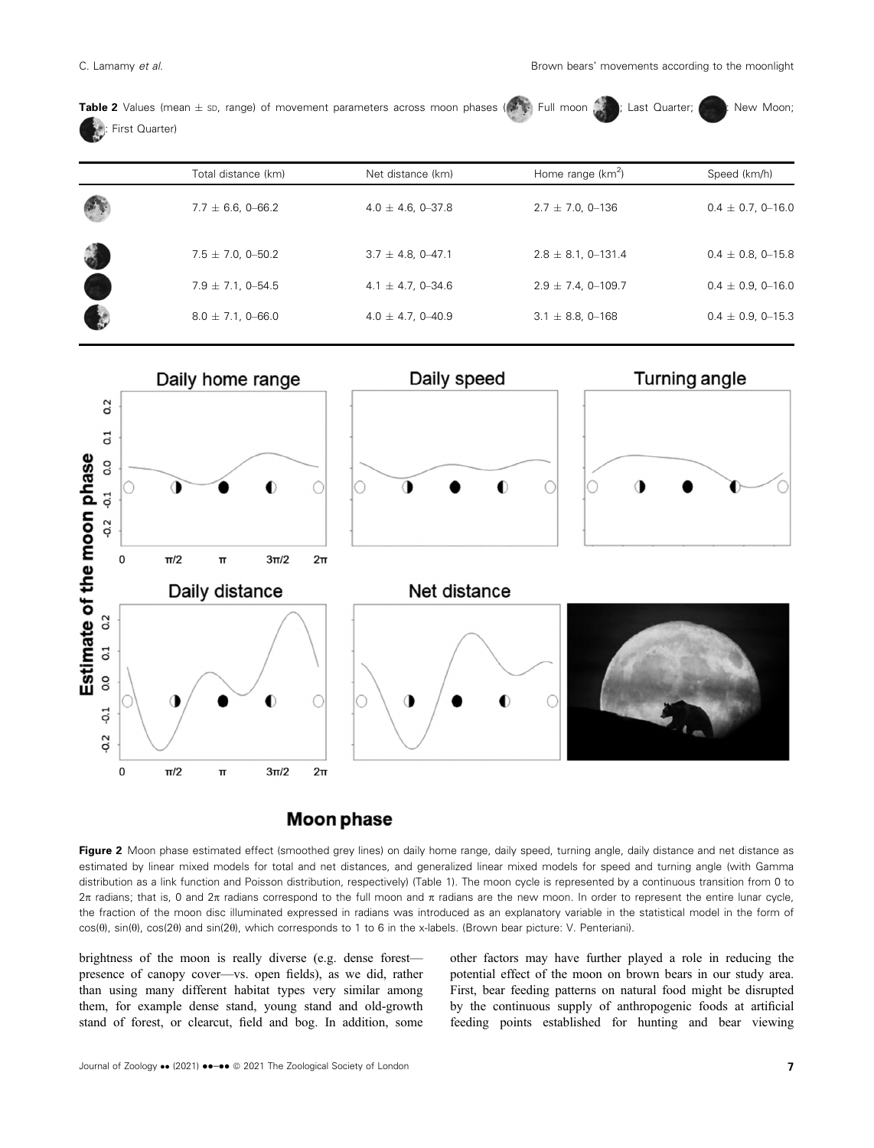| Table 2 Values (mean $\pm$ sp, range) of movement parameters across moon phases ( $\rightarrow$ Full moon $\sim$ Full moon $\sim$ 2 (2 $\sim$ 2): New Moon; |  |  |  |  |  |
|-------------------------------------------------------------------------------------------------------------------------------------------------------------|--|--|--|--|--|
| <b>Company: First Quarter)</b>                                                                                                                              |  |  |  |  |  |

| Total distance (km)     | Net distance (km)       | Home range $(km^2)$      | Speed (km/h)            |
|-------------------------|-------------------------|--------------------------|-------------------------|
| $7.7 \pm 6.6$ , 0-66.2  | $4.0 \pm 4.6$ , 0-37.8  | $2.7 \pm 7.0, 0$ – 136   | $0.4 \pm 0.7, 0$ -16.0  |
| $7.5 \pm 7.0, 0 - 50.2$ | $3.7 \pm 4.8, 0 - 47.1$ | $2.8 \pm 8.1, 0 - 131.4$ | $0.4 \pm 0.8$ , 0-15.8  |
| $7.9 \pm 7.1, 0 - 54.5$ | $4.1 \pm 4.7, 0 - 34.6$ | $2.9 \pm 7.4$ , 0-109.7  | $0.4 \pm 0.9, 0 - 16.0$ |
| $8.0 \pm 7.1, 0 - 66.0$ | $4.0 \pm 4.7, 0 - 40.9$ | $3.1 \pm 8.8$ , 0-168    | $0.4 \pm 0.9, 0$ – 15.3 |



## **Moon phase**

Figure 2 Moon phase estimated effect (smoothed grey lines) on daily home range, daily speed, turning angle, daily distance and net distance as estimated by linear mixed models for total and net distances, and generalized linear mixed models for speed and turning angle (with Gamma distribution as a link function and Poisson distribution, respectively) (Table 1). The moon cycle is represented by a continuous transition from 0 to  $2\pi$  radians; that is, 0 and  $2\pi$  radians correspond to the full moon and  $\pi$  radians are the new moon. In order to represent the entire lunar cycle, the fraction of the moon disc illuminated expressed in radians was introduced as an explanatory variable in the statistical model in the form of cos(0), sin(0), cos(20) and sin(20), which corresponds to 1 to 6 in the x-labels. (Brown bear picture: V. Penteriani).

brightness of the moon is really diverse (e.g. dense forest presence of canopy cover—vs. open fields), as we did, rather than using many different habitat types very similar among them, for example dense stand, young stand and old-growth stand of forest, or clearcut, field and bog. In addition, some other factors may have further played a role in reducing the potential effect of the moon on brown bears in our study area. First, bear feeding patterns on natural food might be disrupted by the continuous supply of anthropogenic foods at artificial feeding points established for hunting and bear viewing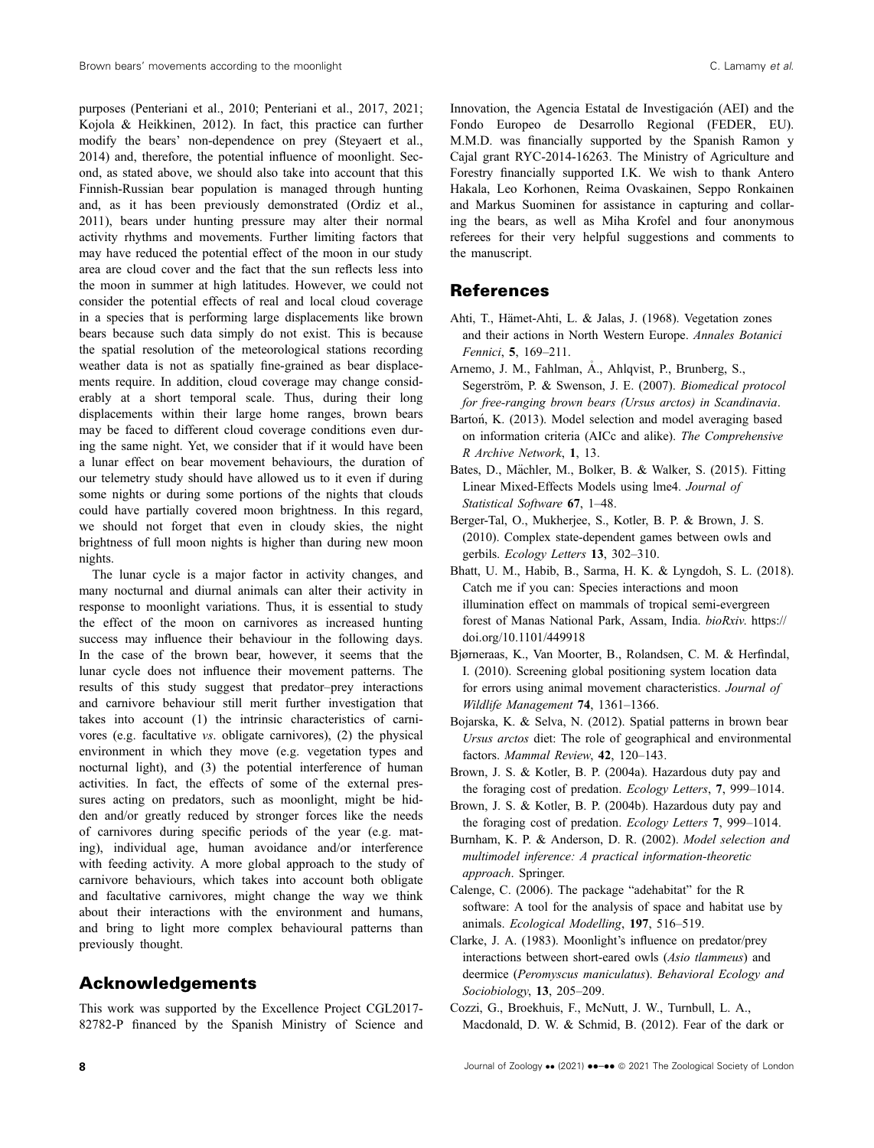purposes (Penteriani et al., 2010; Penteriani et al., 2017, 2021; Kojola & Heikkinen, 2012). In fact, this practice can further modify the bears' non-dependence on prey (Steyaert et al., 2014) and, therefore, the potential influence of moonlight. Second, as stated above, we should also take into account that this Finnish-Russian bear population is managed through hunting and, as it has been previously demonstrated (Ordiz et al., 2011), bears under hunting pressure may alter their normal activity rhythms and movements. Further limiting factors that may have reduced the potential effect of the moon in our study area are cloud cover and the fact that the sun reflects less into the moon in summer at high latitudes. However, we could not consider the potential effects of real and local cloud coverage in a species that is performing large displacements like brown bears because such data simply do not exist. This is because the spatial resolution of the meteorological stations recording weather data is not as spatially fine-grained as bear displacements require. In addition, cloud coverage may change considerably at a short temporal scale. Thus, during their long displacements within their large home ranges, brown bears may be faced to different cloud coverage conditions even during the same night. Yet, we consider that if it would have been a lunar effect on bear movement behaviours, the duration of our telemetry study should have allowed us to it even if during some nights or during some portions of the nights that clouds could have partially covered moon brightness. In this regard, we should not forget that even in cloudy skies, the night brightness of full moon nights is higher than during new moon nights.

The lunar cycle is a major factor in activity changes, and many nocturnal and diurnal animals can alter their activity in response to moonlight variations. Thus, it is essential to study the effect of the moon on carnivores as increased hunting success may influence their behaviour in the following days. In the case of the brown bear, however, it seems that the lunar cycle does not influence their movement patterns. The results of this study suggest that predator–prey interactions and carnivore behaviour still merit further investigation that takes into account (1) the intrinsic characteristics of carnivores (e.g. facultative vs. obligate carnivores), (2) the physical environment in which they move (e.g. vegetation types and nocturnal light), and (3) the potential interference of human activities. In fact, the effects of some of the external pressures acting on predators, such as moonlight, might be hidden and/or greatly reduced by stronger forces like the needs of carnivores during specific periods of the year (e.g. mating), individual age, human avoidance and/or interference with feeding activity. A more global approach to the study of carnivore behaviours, which takes into account both obligate and facultative carnivores, might change the way we think about their interactions with the environment and humans, and bring to light more complex behavioural patterns than previously thought.

## Acknowledgements

This work was supported by the Excellence Project CGL2017- 82782-P financed by the Spanish Ministry of Science and Innovation, the Agencia Estatal de Investigacion (AEI) and the Fondo Europeo de Desarrollo Regional (FEDER, EU). M.M.D. was financially supported by the Spanish Ramon y Cajal grant RYC-2014-16263. The Ministry of Agriculture and Forestry financially supported I.K. We wish to thank Antero Hakala, Leo Korhonen, Reima Ovaskainen, Seppo Ronkainen and Markus Suominen for assistance in capturing and collaring the bears, as well as Miha Krofel and four anonymous referees for their very helpful suggestions and comments to the manuscript.

## References

- Ahti, T., Hämet-Ahti, L. & Jalas, J. (1968). Vegetation zones and their actions in North Western Europe. Annales Botanici Fennici, 5, 169–211.
- Arnemo, J. M., Fahlman, A., Ahlqvist, P., Brunberg, S., Segerström, P. & Swenson, J. E. (2007). Biomedical protocol for free-ranging brown bears (Ursus arctos) in Scandinavia.
- Bartoń, K. (2013). Model selection and model averaging based on information criteria (AICc and alike). The Comprehensive R Archive Network, 1, 13.
- Bates, D., Mächler, M., Bolker, B. & Walker, S. (2015). Fitting Linear Mixed-Effects Models using lme4. Journal of Statistical Software 67, 1-48.
- Berger-Tal, O., Mukherjee, S., Kotler, B. P. & Brown, J. S. (2010). Complex state-dependent games between owls and gerbils. Ecology Letters 13, 302–310.
- Bhatt, U. M., Habib, B., Sarma, H. K. & Lyngdoh, S. L. (2018). Catch me if you can: Species interactions and moon illumination effect on mammals of tropical semi-evergreen forest of Manas National Park, Assam, India. bioRxiv. [https://](https://doi.org/10.1101/449918) [doi.org/10.1101/449918](https://doi.org/10.1101/449918)
- Bjørneraas, K., Van Moorter, B., Rolandsen, C. M. & Herfindal, I. (2010). Screening global positioning system location data for errors using animal movement characteristics. Journal of Wildlife Management 74, 1361–1366.
- Bojarska, K. & Selva, N. (2012). Spatial patterns in brown bear Ursus arctos diet: The role of geographical and environmental factors. Mammal Review, 42, 120–143.
- Brown, J. S. & Kotler, B. P. (2004a). Hazardous duty pay and the foraging cost of predation. Ecology Letters, 7, 999–1014.
- Brown, J. S. & Kotler, B. P. (2004b). Hazardous duty pay and the foraging cost of predation. Ecology Letters 7, 999–1014.
- Burnham, K. P. & Anderson, D. R. (2002). Model selection and multimodel inference: A practical information-theoretic approach. Springer.
- Calenge, C. (2006). The package "adehabitat" for the R software: A tool for the analysis of space and habitat use by animals. Ecological Modelling, 197, 516–519.
- Clarke, J. A. (1983). Moonlight's influence on predator/prey interactions between short-eared owls (Asio tlammeus) and deermice (Peromyscus maniculatus). Behavioral Ecology and Sociobiology, 13, 205–209.
- Cozzi, G., Broekhuis, F., McNutt, J. W., Turnbull, L. A., Macdonald, D. W. & Schmid, B. (2012). Fear of the dark or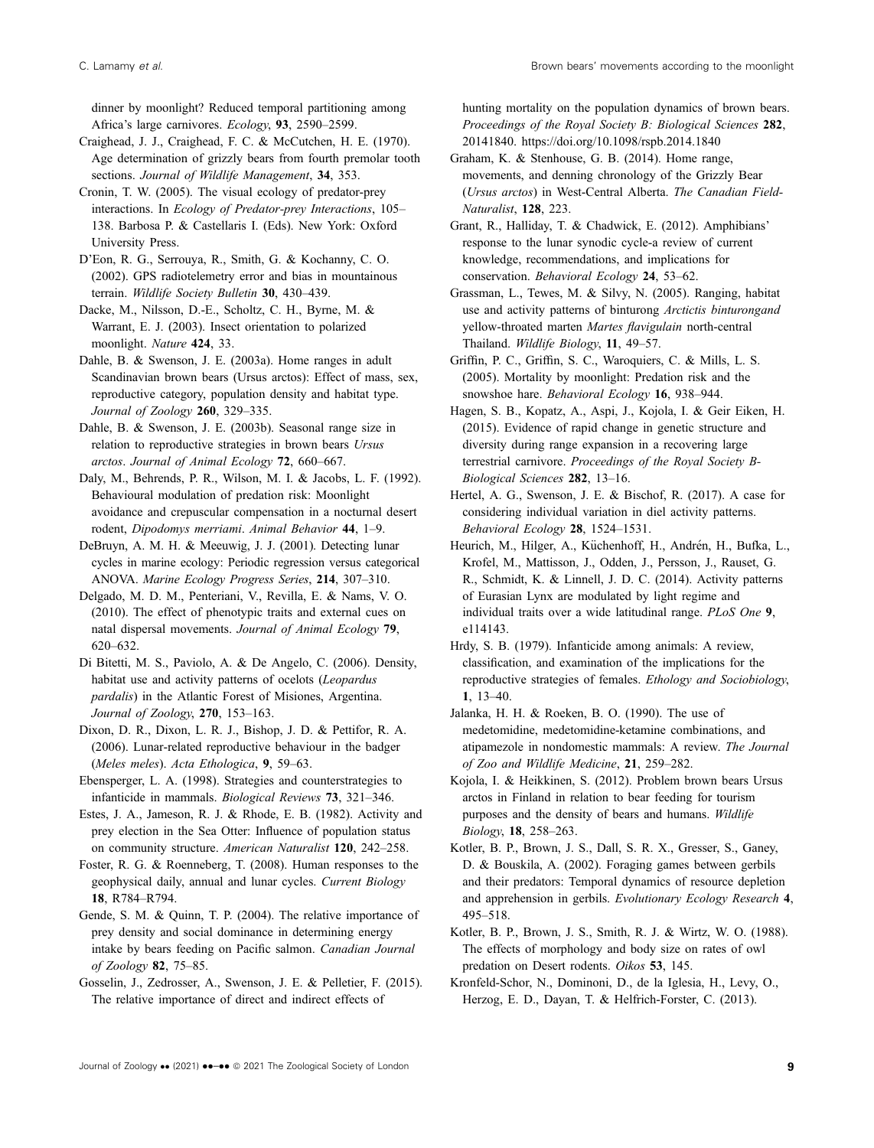dinner by moonlight? Reduced temporal partitioning among Africa's large carnivores. Ecology, 93, 2590–2599.

Craighead, J. J., Craighead, F. C. & McCutchen, H. E. (1970). Age determination of grizzly bears from fourth premolar tooth sections. Journal of Wildlife Management, 34, 353.

Cronin, T. W. (2005). The visual ecology of predator-prey interactions. In Ecology of Predator-prey Interactions, 105– 138. Barbosa P. & Castellaris I. (Eds). New York: Oxford University Press.

D'Eon, R. G., Serrouya, R., Smith, G. & Kochanny, C. O. (2002). GPS radiotelemetry error and bias in mountainous terrain. Wildlife Society Bulletin 30, 430–439.

Dacke, M., Nilsson, D.-E., Scholtz, C. H., Byrne, M. & Warrant, E. J. (2003). Insect orientation to polarized moonlight. Nature 424, 33.

Dahle, B. & Swenson, J. E. (2003a). Home ranges in adult Scandinavian brown bears (Ursus arctos): Effect of mass, sex, reproductive category, population density and habitat type. Journal of Zoology 260, 329-335.

Dahle, B. & Swenson, J. E. (2003b). Seasonal range size in relation to reproductive strategies in brown bears Ursus arctos. Journal of Animal Ecology 72, 660–667.

Daly, M., Behrends, P. R., Wilson, M. I. & Jacobs, L. F. (1992). Behavioural modulation of predation risk: Moonlight avoidance and crepuscular compensation in a nocturnal desert rodent, Dipodomys merriami. Animal Behavior 44, 1–9.

DeBruyn, A. M. H. & Meeuwig, J. J. (2001). Detecting lunar cycles in marine ecology: Periodic regression versus categorical ANOVA. Marine Ecology Progress Series, 214, 307–310.

Delgado, M. D. M., Penteriani, V., Revilla, E. & Nams, V. O. (2010). The effect of phenotypic traits and external cues on natal dispersal movements. Journal of Animal Ecology 79, 620–632.

Di Bitetti, M. S., Paviolo, A. & De Angelo, C. (2006). Density, habitat use and activity patterns of ocelots (Leopardus pardalis) in the Atlantic Forest of Misiones, Argentina. Journal of Zoology, 270, 153–163.

Dixon, D. R., Dixon, L. R. J., Bishop, J. D. & Pettifor, R. A. (2006). Lunar-related reproductive behaviour in the badger (Meles meles). Acta Ethologica, 9, 59–63.

Ebensperger, L. A. (1998). Strategies and counterstrategies to infanticide in mammals. Biological Reviews 73, 321–346.

Estes, J. A., Jameson, R. J. & Rhode, E. B. (1982). Activity and prey election in the Sea Otter: Influence of population status on community structure. American Naturalist 120, 242–258.

Foster, R. G. & Roenneberg, T. (2008). Human responses to the geophysical daily, annual and lunar cycles. Current Biology 18, R784–R794.

Gende, S. M. & Quinn, T. P. (2004). The relative importance of prey density and social dominance in determining energy intake by bears feeding on Pacific salmon. Canadian Journal of Zoology 82, 75–85.

Gosselin, J., Zedrosser, A., Swenson, J. E. & Pelletier, F. (2015). The relative importance of direct and indirect effects of

hunting mortality on the population dynamics of brown bears. Proceedings of the Royal Society B: Biological Sciences 282, 20141840.<https://doi.org/10.1098/rspb.2014.1840>

Graham, K. & Stenhouse, G. B. (2014). Home range, movements, and denning chronology of the Grizzly Bear (Ursus arctos) in West-Central Alberta. The Canadian Field-Naturalist, 128, 223.

Grant, R., Halliday, T. & Chadwick, E. (2012). Amphibians' response to the lunar synodic cycle-a review of current knowledge, recommendations, and implications for conservation. Behavioral Ecology 24, 53–62.

Grassman, L., Tewes, M. & Silvy, N. (2005). Ranging, habitat use and activity patterns of binturong Arctictis binturongand yellow-throated marten Martes flavigulain north-central Thailand. Wildlife Biology, 11, 49–57.

Griffin, P. C., Griffin, S. C., Waroquiers, C. & Mills, L. S. (2005). Mortality by moonlight: Predation risk and the snowshoe hare. Behavioral Ecology 16, 938-944.

Hagen, S. B., Kopatz, A., Aspi, J., Kojola, I. & Geir Eiken, H. (2015). Evidence of rapid change in genetic structure and diversity during range expansion in a recovering large terrestrial carnivore. Proceedings of the Royal Society B-Biological Sciences 282, 13–16.

Hertel, A. G., Swenson, J. E. & Bischof, R. (2017). A case for considering individual variation in diel activity patterns. Behavioral Ecology 28, 1524–1531.

Heurich, M., Hilger, A., Küchenhoff, H., Andrén, H., Bufka, L., Krofel, M., Mattisson, J., Odden, J., Persson, J., Rauset, G. R., Schmidt, K. & Linnell, J. D. C. (2014). Activity patterns of Eurasian Lynx are modulated by light regime and individual traits over a wide latitudinal range. PLoS One 9, e114143.

Hrdy, S. B. (1979). Infanticide among animals: A review, classification, and examination of the implications for the reproductive strategies of females. Ethology and Sociobiology, 1, 13–40.

Jalanka, H. H. & Roeken, B. O. (1990). The use of medetomidine, medetomidine-ketamine combinations, and atipamezole in nondomestic mammals: A review. The Journal of Zoo and Wildlife Medicine, 21, 259–282.

Kojola, I. & Heikkinen, S. (2012). Problem brown bears Ursus arctos in Finland in relation to bear feeding for tourism purposes and the density of bears and humans. Wildlife Biology, 18, 258–263.

Kotler, B. P., Brown, J. S., Dall, S. R. X., Gresser, S., Ganey, D. & Bouskila, A. (2002). Foraging games between gerbils and their predators: Temporal dynamics of resource depletion and apprehension in gerbils. Evolutionary Ecology Research 4, 495–518.

Kotler, B. P., Brown, J. S., Smith, R. J. & Wirtz, W. O. (1988). The effects of morphology and body size on rates of owl predation on Desert rodents. Oikos 53, 145.

Kronfeld-Schor, N., Dominoni, D., de la Iglesia, H., Levy, O., Herzog, E. D., Dayan, T. & Helfrich-Forster, C. (2013).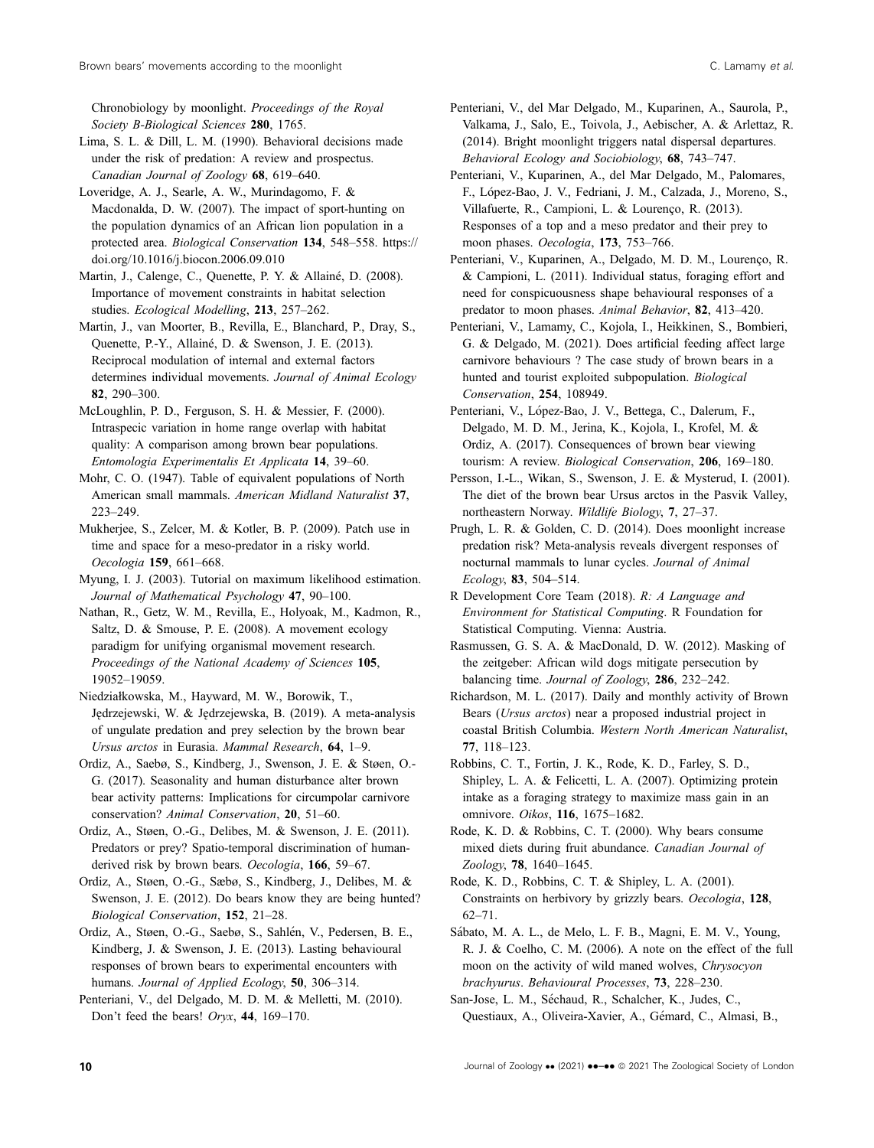Chronobiology by moonlight. Proceedings of the Royal Society B-Biological Sciences 280, 1765.

Lima, S. L. & Dill, L. M. (1990). Behavioral decisions made under the risk of predation: A review and prospectus. Canadian Journal of Zoology 68, 619–640.

Loveridge, A. J., Searle, A. W., Murindagomo, F. & Macdonalda, D. W. (2007). The impact of sport-hunting on the population dynamics of an African lion population in a protected area. Biological Conservation 134, 548–558. [https://](https://doi.org/10.1016/j.biocon.2006.09.010) [doi.org/10.1016/j.biocon.2006.09.010](https://doi.org/10.1016/j.biocon.2006.09.010)

Martin, J., Calenge, C., Quenette, P. Y. & Allainé, D. (2008). Importance of movement constraints in habitat selection studies. Ecological Modelling, 213, 257–262.

Martin, J., van Moorter, B., Revilla, E., Blanchard, P., Dray, S., Quenette, P.-Y., Allainé, D. & Swenson, J. E. (2013). Reciprocal modulation of internal and external factors determines individual movements. Journal of Animal Ecology 82, 290–300.

McLoughlin, P. D., Ferguson, S. H. & Messier, F. (2000). Intraspecic variation in home range overlap with habitat quality: A comparison among brown bear populations. Entomologia Experimentalis Et Applicata 14, 39–60.

Mohr, C. O. (1947). Table of equivalent populations of North American small mammals. American Midland Naturalist 37, 223–249.

Mukherjee, S., Zelcer, M. & Kotler, B. P. (2009). Patch use in time and space for a meso-predator in a risky world. Oecologia 159, 661–668.

Myung, I. J. (2003). Tutorial on maximum likelihood estimation. Journal of Mathematical Psychology 47, 90-100.

Nathan, R., Getz, W. M., Revilla, E., Holyoak, M., Kadmon, R., Saltz, D. & Smouse, P. E. (2008). A movement ecology paradigm for unifying organismal movement research. Proceedings of the National Academy of Sciences 105, 19052–19059.

Niedziałkowska, M., Hayward, M. W., Borowik, T., Jędrzejewski, W. & Jędrzejewska, B. (2019). A meta-analysis of ungulate predation and prey selection by the brown bear Ursus arctos in Eurasia. Mammal Research, 64, 1–9.

Ordiz, A., Saebø, S., Kindberg, J., Swenson, J. E. & Støen, O.- G. (2017). Seasonality and human disturbance alter brown bear activity patterns: Implications for circumpolar carnivore conservation? Animal Conservation, 20, 51–60.

Ordiz, A., Støen, O.-G., Delibes, M. & Swenson, J. E. (2011). Predators or prey? Spatio-temporal discrimination of humanderived risk by brown bears. Oecologia, 166, 59–67.

Ordiz, A., Støen, O.-G., Sæbø, S., Kindberg, J., Delibes, M. & Swenson, J. E. (2012). Do bears know they are being hunted? Biological Conservation, 152, 21–28.

Ordiz, A., Støen, O.-G., Saebø, S., Sahlen, V., Pedersen, B. E., Kindberg, J. & Swenson, J. E. (2013). Lasting behavioural responses of brown bears to experimental encounters with humans. Journal of Applied Ecology, 50, 306-314.

Penteriani, V., del Delgado, M. D. M. & Melletti, M. (2010). Don't feed the bears! Oryx, 44, 169–170.

Penteriani, V., del Mar Delgado, M., Kuparinen, A., Saurola, P., Valkama, J., Salo, E., Toivola, J., Aebischer, A. & Arlettaz, R. (2014). Bright moonlight triggers natal dispersal departures. Behavioral Ecology and Sociobiology, 68, 743–747.

Penteriani, V., Kuparinen, A., del Mar Delgado, M., Palomares, F., Lopez-Bao, J. V., Fedriani, J. M., Calzada, J., Moreno, S., Villafuerte, R., Campioni, L. & Lourenço, R. (2013). Responses of a top and a meso predator and their prey to moon phases. Oecologia, 173, 753–766.

Penteriani, V., Kuparinen, A., Delgado, M. D. M., Lourenço, R. & Campioni, L. (2011). Individual status, foraging effort and need for conspicuousness shape behavioural responses of a predator to moon phases. Animal Behavior, 82, 413–420.

Penteriani, V., Lamamy, C., Kojola, I., Heikkinen, S., Bombieri, G. & Delgado, M. (2021). Does artificial feeding affect large carnivore behaviours ? The case study of brown bears in a hunted and tourist exploited subpopulation. Biological Conservation, 254, 108949.

Penteriani, V., López-Bao, J. V., Bettega, C., Dalerum, F., Delgado, M. D. M., Jerina, K., Kojola, I., Krofel, M. & Ordiz, A. (2017). Consequences of brown bear viewing tourism: A review. Biological Conservation, 206, 169-180.

Persson, I.-L., Wikan, S., Swenson, J. E. & Mysterud, I. (2001). The diet of the brown bear Ursus arctos in the Pasvik Valley, northeastern Norway. Wildlife Biology, 7, 27–37.

Prugh, L. R. & Golden, C. D. (2014). Does moonlight increase predation risk? Meta-analysis reveals divergent responses of nocturnal mammals to lunar cycles. Journal of Animal Ecology, 83, 504–514.

R Development Core Team (2018). R: A Language and Environment for Statistical Computing. R Foundation for Statistical Computing. Vienna: Austria.

Rasmussen, G. S. A. & MacDonald, D. W. (2012). Masking of the zeitgeber: African wild dogs mitigate persecution by balancing time. Journal of Zoology, 286, 232–242.

Richardson, M. L. (2017). Daily and monthly activity of Brown Bears (Ursus arctos) near a proposed industrial project in coastal British Columbia. Western North American Naturalist, 77, 118–123.

Robbins, C. T., Fortin, J. K., Rode, K. D., Farley, S. D., Shipley, L. A. & Felicetti, L. A. (2007). Optimizing protein intake as a foraging strategy to maximize mass gain in an omnivore. Oikos, 116, 1675–1682.

Rode, K. D. & Robbins, C. T. (2000). Why bears consume mixed diets during fruit abundance. Canadian Journal of Zoology, 78, 1640–1645.

Rode, K. D., Robbins, C. T. & Shipley, L. A. (2001). Constraints on herbivory by grizzly bears. Oecologia, 128, 62–71.

Sábato, M. A. L., de Melo, L. F. B., Magni, E. M. V., Young, R. J. & Coelho, C. M. (2006). A note on the effect of the full moon on the activity of wild maned wolves, Chrysocyon brachyurus. Behavioural Processes, 73, 228–230.

San-Jose, L. M., Sechaud, R., Schalcher, K., Judes, C., Questiaux, A., Oliveira-Xavier, A., Gémard, C., Almasi, B.,